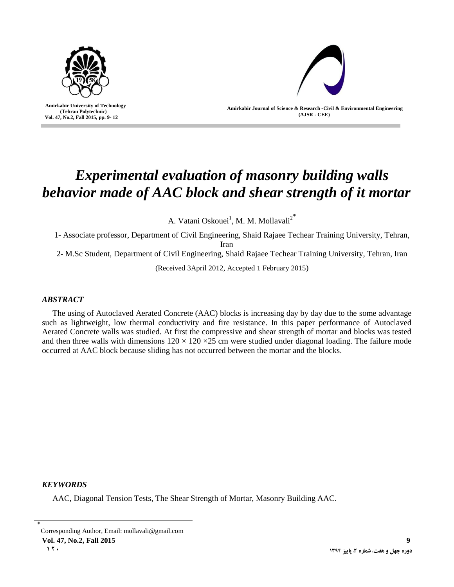

 **Amirkabir University of Technology (Tehran Polytechnic) Vol. 47, No.2, Fall 2015, pp. 9- 12**

I



**Amirkabir Journal of Science & Research -Civil & Environmental Engineering (AJSR - CEE)**

# *Experimental evaluation of masonry building walls behavior made of AAC block and shear strength of it mortar*

A. Vatani Oskouei<sup>1</sup>, M. M. Mollavali<sup>2\*</sup>

1- Associate professor, Department of Civil Engineering, Shaid Rajaee Techear Training University, Tehran,

Iran

2- M.Sc Student, Department of Civil Engineering, Shaid Rajaee Techear Training University, Tehran, Iran

(Received 3April 2012, Accepted 1 February 2015)

## *ABSTRACT*

The using of Autoclaved Aerated Concrete (AAC) blocks is increasing day by day due to the some advantage such as lightweight, low thermal conductivity and fire resistance. In this paper performance of Autoclaved Aerated Concrete walls was studied. At first the compressive and shear strength of mortar and blocks was tested and then three walls with dimensions  $120 \times 120 \times 25$  cm were studied under diagonal loading. The failure mode occurred at AAC block because sliding has not occurred between the mortar and the blocks.

## *KEYWORDS*

AAC, Diagonal Tension Tests, The Shear Strength of Mortar, Masonry Building AAC.

**Vol. 47, No.2, Fall 2015 9**

<sup>٭</sup> Corresponding Author, Email: mollavali@gmail.com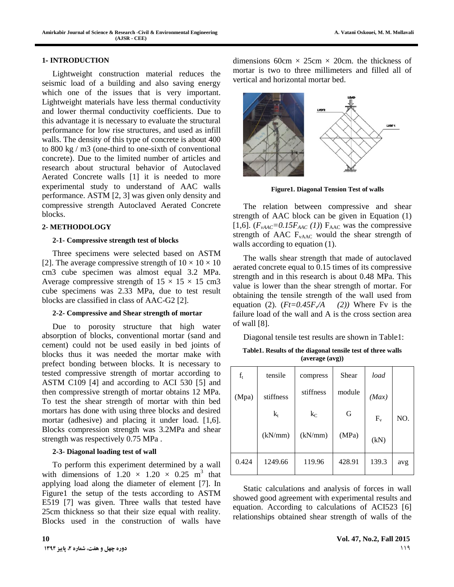#### **1- INTRODUCTION**

Lightweight construction material reduces the seismic load of a building and also saving energy which one of the issues that is very important. Lightweight materials have less thermal conductivity and lower thermal conductivity coefficients. Due to this advantage it is necessary to evaluate the structural performance for low rise structures, and used as infill walls. The density of this type of concrete is about 400 to 800 kg / m3 (one-third to one-sixth of conventional concrete). Due to the limited number of articles and research about structural behavior of Autoclaved Aerated Concrete walls [1] it is needed to more experimental study to understand of AAC walls performance. ASTM [2, 3] was given only density and compressive strength Autoclaved Aerated Concrete blocks.

#### **2- METHODOLOGY**

#### **2-1- Compressive strength test of blocks**

Three specimens were selected based on ASTM [2]. The average compressive strength of  $10 \times 10 \times 10$ cm3 cube specimen was almost equal 3.2 MPa. Average compressive strength of  $15 \times 15 \times 15$  cm3 cube specimens was 2.33 MPa, due to test result blocks are classified in class of AAC-G2 [2].

#### **2-2- Compressive and Shear strength of mortar**

Due to porosity structure that high water absorption of blocks, conventional mortar (sand and cement) could not be used easily in bed joints of blocks thus it was needed the mortar make with prefect bonding between blocks. It is necessary to tested compressive strength of mortar according to ASTM C109 [4] and according to ACI 530 [5] and then compressive strength of mortar obtains 12 MPa. To test the shear strength of mortar with thin bed mortars has done with using three blocks and desired mortar (adhesive) and placing it under load. [1,6]. Blocks compression strength was 3.2MPa and shear strength was respectively 0.75 MPa .

### **2-3- Diagonal loading test of wall**

To perform this experiment determined by a wall with dimensions of  $1.20 \times 1.20 \times 0.25$  m<sup>3</sup> that applying load along the diameter of element [7]. In Figure1 the setup of the tests according to ASTM E519 [7] was given. Three walls that tested have 25cm thickness so that their size equal with reality. Blocks used in the construction of walls have

dimensions 60cm  $\times$  25cm  $\times$  20cm, the thickness of mortar is two to three millimeters and filled all of vertical and horizontal mortar bed.



**Figure1. Diagonal Tension Test of walls**

The relation between compressive and shear strength of AAC block can be given in Equation (1) [1,6].  $(F_{\text{vAAC}}=0.15F_{\text{AAC}}(1))$  F<sub>AAC</sub> was the compressive strength of AAC  $F_{\text{vAAC}}$  would the shear strength of walls according to equation (1).

The walls shear strength that made of autoclaved aerated concrete equal to 0.15 times of its compressive strength and in this research is about 0.48 MPa. This value is lower than the shear strength of mortar. For obtaining the tensile strength of the wall used from equation (2).  $(Ft=0.45F/A)$ *(2))* Where Fv is the failure load of the wall and A is the cross section area of wall [8].

Diagonal tensile test results are shown in Table1:

**Table1. Results of the diagonal tensile test of three walls (average (avg))**

| $f_t$ | tensile   | compress  | Shear  | load  |     |
|-------|-----------|-----------|--------|-------|-----|
| (Mpa) | stiffness | stiffness | module | (Max) |     |
|       | $k_t$     | $k_C$     | G      | $F_v$ | NO. |
|       | (kN/mm)   | (kN/mm)   | (MPa)  | (kN)  |     |
| 0.424 | 1249.66   | 119.96    | 428.91 | 139.3 | avg |

Static calculations and analysis of forces in wall showed good agreement with experimental results and equation. According to calculations of ACI523 [6] relationships obtained shear strength of walls of the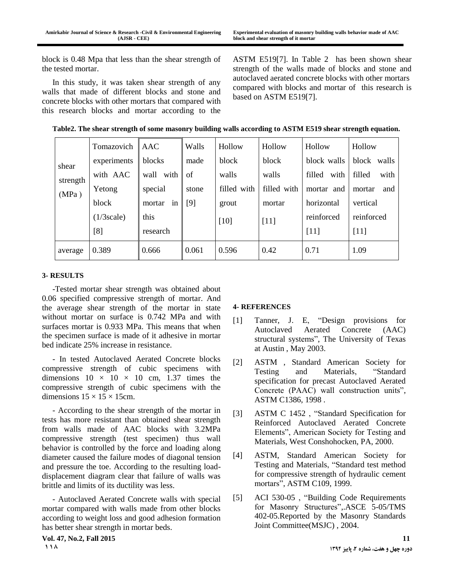block is 0.48 Mpa that less than the shear strength of the tested mortar.

In this study, it was taken shear strength of any walls that made of different blocks and stone and concrete blocks with other mortars that compared with this research blocks and mortar according to the

ASTM E519[7]. In Table 2 has been shown shear strength of the walls made of blocks and stone and autoclaved aerated concrete blocks with other mortars compared with blocks and mortar of this research is based on ASTM E519[7].

|  | Table2. The shear strength of some masonry building walls according to ASTM E519 shear strength equation. |  |
|--|-----------------------------------------------------------------------------------------------------------|--|
|  |                                                                                                           |  |

|                            | Tomazovich  | AAC          | Walls | Hollow      | Hollow      | Hollow         | Hollow         |
|----------------------------|-------------|--------------|-------|-------------|-------------|----------------|----------------|
| shear<br>strength<br>(MPa) | experiments | blocks       | made  | block       | block       | block walls    | block<br>walls |
|                            | with AAC    | wall<br>with | of    | walls       | walls       | filled<br>with | filled<br>with |
|                            | Yetong      | special      | stone | filled with | filled with | mortar and     | mortar<br>and  |
|                            | block       | mortar<br>1n | $[9]$ | grout       | mortar      | horizontal     | vertical       |
|                            | (1/3 scale) | this         |       | [10]        | $[11]$      | reinforced     | reinforced     |
|                            | [8]         | research     |       |             |             | [11]           | [11]           |
| average                    | 0.389       | 0.666        | 0.061 | 0.596       | 0.42        | 0.71           | 1.09           |

## **3- RESULTS**

-Tested mortar shear strength was obtained about 0.06 specified compressive strength of mortar. And the average shear strength of the mortar in state without mortar on surface is 0.742 MPa and with surfaces mortar is 0.933 MPa. This means that when the specimen surface is made of it adhesive in mortar bed indicate 25% increase in resistance.

- In tested Autoclaved Aerated Concrete blocks compressive strength of cubic specimens with dimensions  $10 \times 10 \times 10$  cm, 1.37 times the compressive strength of cubic specimens with the dimensions  $15 \times 15 \times 15$ cm.

- According to the shear strength of the mortar in tests has more resistant than obtained shear strength from walls made of AAC blocks with 3.2MPa compressive strength (test specimen) thus wall behavior is controlled by the force and loading along diameter caused the failure modes of diagonal tension and pressure the toe. According to the resulting loaddisplacement diagram clear that failure of walls was brittle and limits of its ductility was less.

- Autoclaved Aerated Concrete walls with special mortar compared with walls made from other blocks according to weight loss and good adhesion formation has better shear strength in mortar beds.

## **4- REFERENCES**

- [1] Tanner, J. E, "Design provisions for Autoclaved Aerated Concrete (AAC) structural systems", The University of Texas at Austin , May 2003.
- [2] ASTM , Standard American Society for Testing and Materials, "Standard specification for precast Autoclaved Aerated Concrete (PAAC) wall construction units", ASTM C1386, 1998 .
- [3] ASTM C 1452 , "Standard Specification for Reinforced Autoclaved Aerated Concrete Elements", American Society for Testing and Materials, West Conshohocken, PA, 2000.
- [4] ASTM, Standard American Society for Testing and Materials, "Standard test method for compressive strength of hydraulic cement mortars", ASTM C109, 1999.
- [5] ACI 530-05 , "Building Code Requirements for Masonry Structures",.ASCE 5-05/TMS 402-05.Reported by the Masonry Standards Joint Committee(MSJC) , 2004.